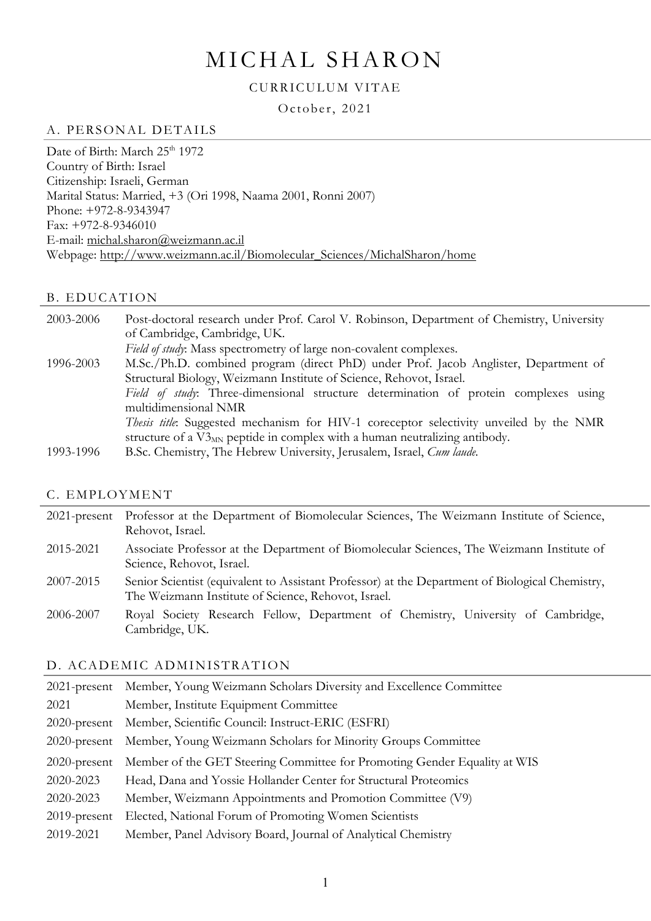# MICHAL SHARON

#### CURRICULUM VITAE

October, 2021

#### A. PERSONAL DETAILS

Date of Birth: March 25<sup>th</sup> 1972 Country of Birth: Israel Citizenship: Israeli, German Marital Status: Married, +3 (Ori 1998, Naama 2001, Ronni 2007) Phone: +972-8-9343947 Fax: +972-8-9346010 E-mail: [michal.sharon@weizmann.ac.il](mailto:michal.sharon@weizmann.ac.il) Webpage: [http://www.weizmann.ac.il/Biomolecular\\_Sciences/MichalSharon/home](http://www.weizmann.ac.il/Biomolecular_Sciences/MichalSharon/home)

#### **B. EDUCATION**

2003-2006 Post-doctoral research under Prof. Carol V. Robinson, Department of Chemistry, University of Cambridge, Cambridge, UK. *Field of study*: Mass spectrometry of large non-covalent complexes. 1996-2003 M.Sc./Ph.D. combined program (direct PhD) under Prof. Jacob Anglister, Department of Structural Biology, Weizmann Institute of Science, Rehovot, Israel. *Field of study*: Three-dimensional structure determination of protein complexes using multidimensional NMR *Thesis title*: Suggested mechanism for HIV-1 coreceptor selectivity unveiled by the NMR structure of a  $V3_{MN}$  peptide in complex with a human neutralizing antibody. 1993-1996 B.Sc. Chemistry, The Hebrew University, Jerusalem, Israel, *Cum laude.*

#### C. EMPLOYMENT

2021-present Professor at the Department of Biomolecular Sciences, The Weizmann Institute of Science, Rehovot, Israel. 2015-2021 Associate Professor at the Department of Biomolecular Sciences, The Weizmann Institute of Science, Rehovot, Israel. 2007-2015 Senior Scientist (equivalent to Assistant Professor) at the Department of Biological Chemistry, The Weizmann Institute of Science, Rehovot, Israel. 2006-2007 Royal Society Research Fellow, Department of Chemistry, University of Cambridge, Cambridge, UK.

#### D. ACADEMIC ADMINISTRATION

|                 | 2021-present Member, Young Weizmann Scholars Diversity and Excellence Committee |
|-----------------|---------------------------------------------------------------------------------|
| 2021            | Member, Institute Equipment Committee                                           |
| $2020$ -present | Member, Scientific Council: Instruct-ERIC (ESFRI)                               |
| $2020$ -present | Member, Young Weizmann Scholars for Minority Groups Committee                   |
| $2020$ -present | Member of the GET Steering Committee for Promoting Gender Equality at WIS       |
| 2020-2023       | Head, Dana and Yossie Hollander Center for Structural Proteomics                |
| 2020-2023       | Member, Weizmann Appointments and Promotion Committee (V9)                      |
| $2019$ -present | Elected, National Forum of Promoting Women Scientists                           |
| 2019-2021       | Member, Panel Advisory Board, Journal of Analytical Chemistry                   |
|                 |                                                                                 |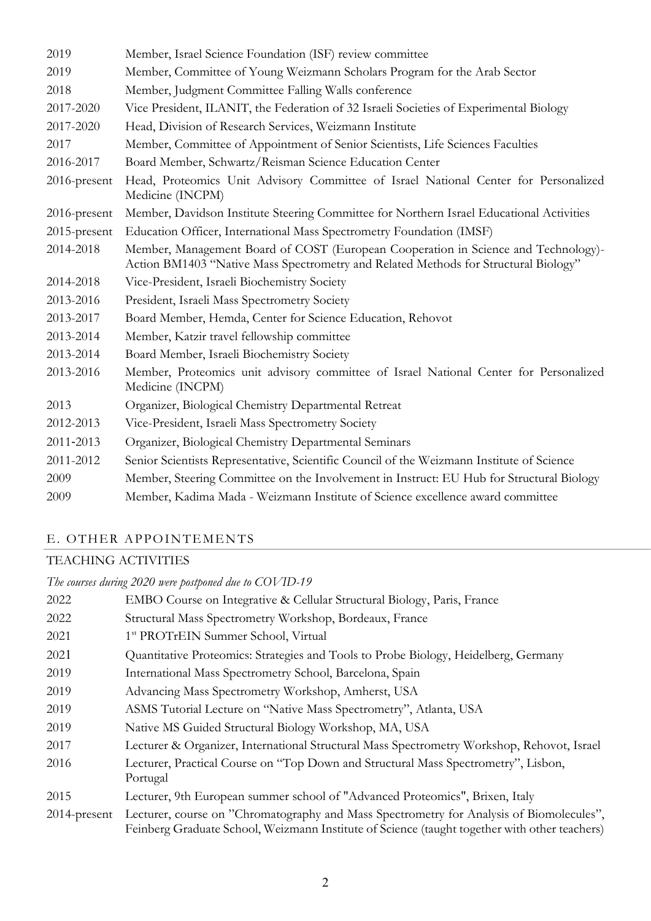| 2019            | Member, Israel Science Foundation (ISF) review committee                                                                                                                  |
|-----------------|---------------------------------------------------------------------------------------------------------------------------------------------------------------------------|
| 2019            | Member, Committee of Young Weizmann Scholars Program for the Arab Sector                                                                                                  |
| 2018            | Member, Judgment Committee Falling Walls conference                                                                                                                       |
| 2017-2020       | Vice President, ILANIT, the Federation of 32 Israeli Societies of Experimental Biology                                                                                    |
| 2017-2020       | Head, Division of Research Services, Weizmann Institute                                                                                                                   |
| 2017            | Member, Committee of Appointment of Senior Scientists, Life Sciences Faculties                                                                                            |
| 2016-2017       | Board Member, Schwartz/Reisman Science Education Center                                                                                                                   |
| 2016-present    | Head, Proteomics Unit Advisory Committee of Israel National Center for Personalized<br>Medicine (INCPM)                                                                   |
| $2016$ -present | Member, Davidson Institute Steering Committee for Northern Israel Educational Activities                                                                                  |
| 2015-present    | Education Officer, International Mass Spectrometry Foundation (IMSF)                                                                                                      |
| 2014-2018       | Member, Management Board of COST (European Cooperation in Science and Technology)-<br>Action BM1403 "Native Mass Spectrometry and Related Methods for Structural Biology" |
| 2014-2018       | Vice-President, Israeli Biochemistry Society                                                                                                                              |
| 2013-2016       | President, Israeli Mass Spectrometry Society                                                                                                                              |
| 2013-2017       | Board Member, Hemda, Center for Science Education, Rehovot                                                                                                                |
| 2013-2014       | Member, Katzir travel fellowship committee                                                                                                                                |
| 2013-2014       | Board Member, Israeli Biochemistry Society                                                                                                                                |
| 2013-2016       | Member, Proteomics unit advisory committee of Israel National Center for Personalized<br>Medicine (INCPM)                                                                 |
| 2013            | Organizer, Biological Chemistry Departmental Retreat                                                                                                                      |
| 2012-2013       | Vice-President, Israeli Mass Spectrometry Society                                                                                                                         |
| 2011-2013       | Organizer, Biological Chemistry Departmental Seminars                                                                                                                     |
| 2011-2012       | Senior Scientists Representative, Scientific Council of the Weizmann Institute of Science                                                                                 |
| 2009            | Member, Steering Committee on the Involvement in Instruct: EU Hub for Structural Biology                                                                                  |
| 2009            | Member, Kadima Mada - Weizmann Institute of Science excellence award committee                                                                                            |

## E. OTHER APPOINTEMENTS

## TEACHING ACTIVITIES

*The courses during 2020 were postponed due to COVID-19* EMBO Course on Integrative & Cellular Structural Biology, Paris, France Structural Mass Spectrometry Workshop, Bordeaux, France 2021 1<sup>st</sup> PROTrEIN Summer School, Virtual 1 Quantitative Proteomics: Strategies and Tools to Probe Biology, Heidelberg, Germany International Mass Spectrometry School, Barcelona, Spain Advancing Mass Spectrometry Workshop, Amherst, USA ASMS Tutorial Lecture on "Native Mass Spectrometry", Atlanta, USA Native MS Guided Structural Biology Workshop, MA, USA Lecturer & Organizer, International Structural Mass Spectrometry Workshop, Rehovot, Israel Lecturer, Practical Course on "Top Down and Structural Mass Spectrometry", Lisbon, Portugal Lecturer, 9th European summer school of "Advanced Proteomics", Brixen, Italy 2014-present Lecturer, course on "Chromatography and Mass Spectrometry for Analysis of Biomolecules", Feinberg Graduate School, Weizmann Institute of Science (taught together with other teachers)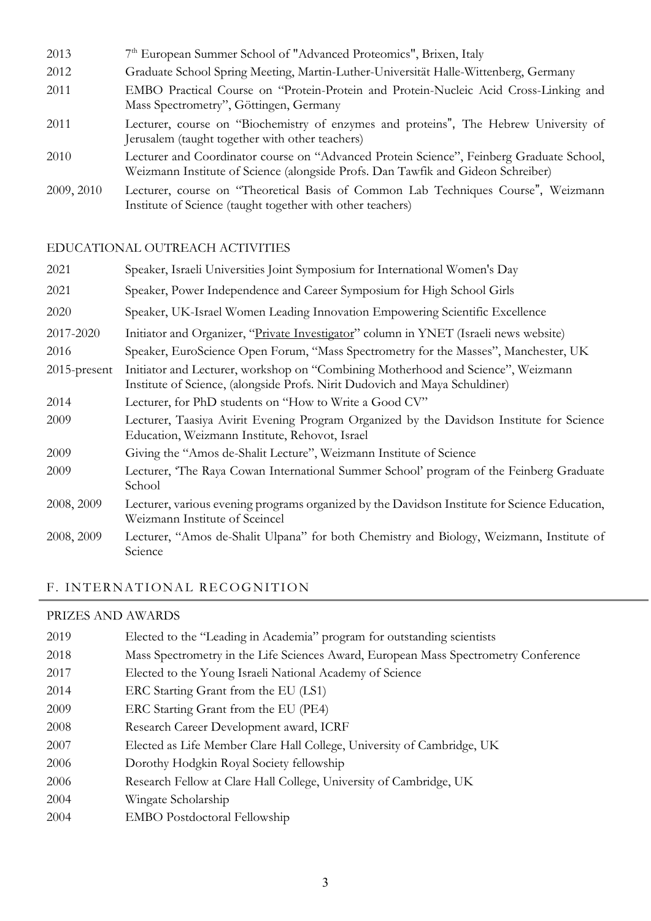2013 7<sup>th</sup> European Summer School of "Advanced Proteomics", Brixen, Italy 2012 Graduate School Spring Meeting, Martin-Luther-Universität Halle-Wittenberg, Germany 2011 EMBO Practical Course on "Protein-Protein and Protein-Nucleic Acid Cross-Linking and Mass Spectrometry", Göttingen, Germany 2011 Lecturer, course on "Biochemistry of enzymes and proteins", The Hebrew University of Jerusalem (taught together with other teachers) 2010 Lecturer and Coordinator course on "Advanced Protein Science", Feinberg Graduate School, Weizmann Institute of Science (alongside Profs. Dan Tawfik and Gideon Schreiber) 2009, 2010 Lecturer, course on "Theoretical Basis of Common Lab Techniques Course", Weizmann Institute of Science (taught together with other teachers)

#### EDUCATIONAL OUTREACH ACTIVITIES

| 2021            | Speaker, Israeli Universities Joint Symposium for International Women's Day                                                                                     |
|-----------------|-----------------------------------------------------------------------------------------------------------------------------------------------------------------|
| 2021            | Speaker, Power Independence and Career Symposium for High School Girls                                                                                          |
| 2020            | Speaker, UK-Israel Women Leading Innovation Empowering Scientific Excellence                                                                                    |
| 2017-2020       | Initiator and Organizer, "Private Investigator" column in YNET (Israeli news website)                                                                           |
| 2016            | Speaker, EuroScience Open Forum, "Mass Spectrometry for the Masses", Manchester, UK                                                                             |
| $2015$ -present | Initiator and Lecturer, workshop on "Combining Motherhood and Science", Weizmann<br>Institute of Science, (alongside Profs. Nirit Dudovich and Maya Schuldiner) |
| 2014            | Lecturer, for PhD students on "How to Write a Good CV"                                                                                                          |
| 2009            | Lecturer, Taasiya Avirit Evening Program Organized by the Davidson Institute for Science<br>Education, Weizmann Institute, Rehovot, Israel                      |
| 2009            | Giving the "Amos de-Shalit Lecture", Weizmann Institute of Science                                                                                              |
| 2009            | Lecturer, 'The Raya Cowan International Summer School' program of the Feinberg Graduate<br>School                                                               |
| 2008, 2009      | Lecturer, various evening programs organized by the Davidson Institute for Science Education,<br>Weizmann Institute of Sceincel                                 |
| 2008, 2009      | Lecturer, "Amos de-Shalit Ulpana" for both Chemistry and Biology, Weizmann, Institute of<br>Science                                                             |

## F. INTERNATIONAL RECOGNITION

#### PRIZES AND AWARDS

| 2019 | Elected to the "Leading in Academia" program for outstanding scientists             |
|------|-------------------------------------------------------------------------------------|
| 2018 | Mass Spectrometry in the Life Sciences Award, European Mass Spectrometry Conference |
| 2017 | Elected to the Young Israeli National Academy of Science                            |
| 2014 | ERC Starting Grant from the EU (LS1)                                                |
| 2009 | ERC Starting Grant from the EU (PE4)                                                |
| 2008 | Research Career Development award, ICRF                                             |
| 2007 | Elected as Life Member Clare Hall College, University of Cambridge, UK              |
| 2006 | Dorothy Hodgkin Royal Society fellowship                                            |
| 2006 | Research Fellow at Clare Hall College, University of Cambridge, UK                  |
| 2004 | Wingate Scholarship                                                                 |
| 2004 | <b>EMBO</b> Postdoctoral Fellowship                                                 |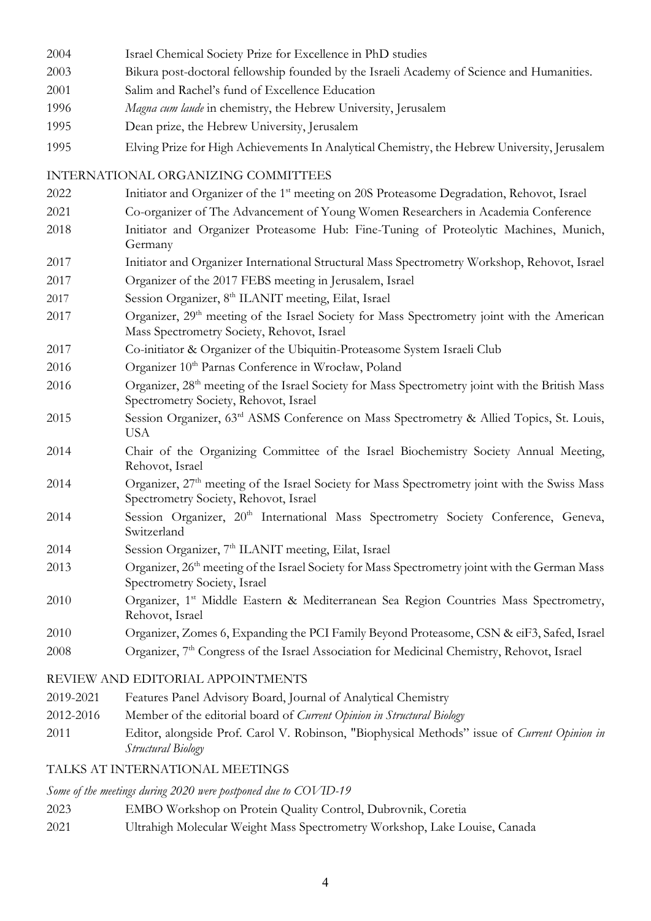- 2004 Israel Chemical Society Prize for Excellence in PhD studies
- 2003 Bikura post-doctoral fellowship founded by the Israeli Academy of Science and Humanities.
- 2001 Salim and Rachel's fund of Excellence Education
- 1996 *Magna cum laude* in chemistry, the Hebrew University, Jerusalem
- 1995 Dean prize, the Hebrew University, Jerusalem
- 1995 Elving Prize for High Achievements In Analytical Chemistry, the Hebrew University, Jerusalem

#### INTERNATIONAL ORGANIZING COMMITTEES

- 2022 Initiator and Organizer of the 1<sup>st</sup> meeting on 20S Proteasome Degradation, Rehovot, Israel
- 2021 Co-organizer of The Advancement of Young Women Researchers in Academia Conference
- 2018 Initiator and Organizer Proteasome Hub: Fine-Tuning of Proteolytic Machines, Munich, Germany
- 2017 Initiator and Organizer International Structural Mass Spectrometry Workshop, Rehovot, Israel
- 2017 Organizer of the 2017 FEBS meeting in Jerusalem, Israel
- 2017 Session Organizer, 8th ILANIT meeting, Eilat, Israel
- 2017 Organizer, 29<sup>th</sup> meeting of the Israel Society for Mass Spectrometry joint with the American Mass Spectrometry Society, Rehovot, Israel
- 2017 Co-initiator & Organizer of the Ubiquitin-Proteasome System Israeli Club
- 2016 Organizer 10<sup>th</sup> Parnas Conference in Wrocław, Poland
- 2016 Organizer, 28<sup>th</sup> meeting of the Israel Society for Mass Spectrometry joint with the British Mass Spectrometry Society, Rehovot, Israel
- 2015 Session Organizer, 63rd ASMS Conference on Mass Spectrometry & Allied Topics, St. Louis, USA
- 2014 Chair of the Organizing Committee of the Israel Biochemistry Society Annual Meeting, Rehovot, Israel
- 2014 Organizer, 27<sup>th</sup> meeting of the Israel Society for Mass Spectrometry joint with the Swiss Mass Spectrometry Society, Rehovot, Israel
- 2014 Session Organizer, 20<sup>th</sup> International Mass Spectrometry Society Conference, Geneva, Switzerland
- 2014 Session Organizer, 7<sup>th</sup> ILANIT meeting, Eilat, Israel
- 2013 Organizer, 26<sup>th</sup> meeting of the Israel Society for Mass Spectrometry joint with the German Mass Spectrometry Society, Israel
- 2010 Organizer, 1<sup>st</sup> Middle Eastern & Mediterranean Sea Region Countries Mass Spectrometry, Rehovot, Israel
- 2010 Organizer, Zomes 6, Expanding the PCI Family Beyond Proteasome, CSN & eiF3, Safed, Israel
- 2008 Organizer, 7<sup>th</sup> Congress of the Israel Association for Medicinal Chemistry, Rehovot, Israel

## REVIEW AND EDITORIAL APPOINTMENTS

- 2019-2021 Features Panel Advisory Board, Journal of Analytical Chemistry
- 2012-2016 Member of the editorial board of *Current Opinion in Structural Biology*
- 2011 Editor, alongside Prof. Carol V. Robinson, "Biophysical Methods" issue of *Current Opinion in Structural Biology*

## TALKS AT INTERNATIONAL MEETINGS

## *Some of the meetings during 2020 were postponed due to COVID-19*

- 2023 EMBO Workshop on Protein Quality Control, Dubrovnik, Coretia
- 2021 Ultrahigh Molecular Weight Mass Spectrometry Workshop, Lake Louise, Canada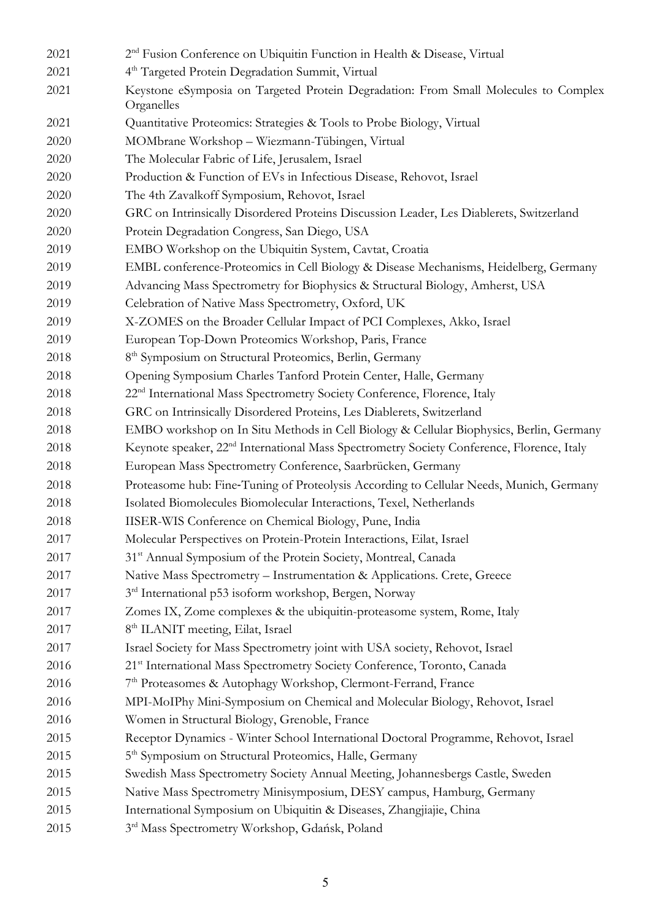| 2021 | 2 <sup>nd</sup> Fusion Conference on Ubiquitin Function in Health & Disease, Virtual                  |
|------|-------------------------------------------------------------------------------------------------------|
| 2021 | 4 <sup>th</sup> Targeted Protein Degradation Summit, Virtual                                          |
| 2021 | Keystone eSymposia on Targeted Protein Degradation: From Small Molecules to Complex<br>Organelles     |
| 2021 | Quantitative Proteomics: Strategies & Tools to Probe Biology, Virtual                                 |
| 2020 | MOMbrane Workshop - Wiezmann-Tübingen, Virtual                                                        |
| 2020 | The Molecular Fabric of Life, Jerusalem, Israel                                                       |
| 2020 | Production & Function of EVs in Infectious Disease, Rehovot, Israel                                   |
| 2020 | The 4th Zavalkoff Symposium, Rehovot, Israel                                                          |
| 2020 | GRC on Intrinsically Disordered Proteins Discussion Leader, Les Diablerets, Switzerland               |
| 2020 | Protein Degradation Congress, San Diego, USA                                                          |
| 2019 | EMBO Workshop on the Ubiquitin System, Cavtat, Croatia                                                |
| 2019 | EMBL conference-Proteomics in Cell Biology & Disease Mechanisms, Heidelberg, Germany                  |
| 2019 | Advancing Mass Spectrometry for Biophysics & Structural Biology, Amherst, USA                         |
| 2019 | Celebration of Native Mass Spectrometry, Oxford, UK                                                   |
| 2019 | X-ZOMES on the Broader Cellular Impact of PCI Complexes, Akko, Israel                                 |
| 2019 | European Top-Down Proteomics Workshop, Paris, France                                                  |
| 2018 | 8 <sup>th</sup> Symposium on Structural Proteomics, Berlin, Germany                                   |
| 2018 | Opening Symposium Charles Tanford Protein Center, Halle, Germany                                      |
| 2018 | 22 <sup>nd</sup> International Mass Spectrometry Society Conference, Florence, Italy                  |
| 2018 | GRC on Intrinsically Disordered Proteins, Les Diablerets, Switzerland                                 |
| 2018 | EMBO workshop on In Situ Methods in Cell Biology & Cellular Biophysics, Berlin, Germany               |
| 2018 | Keynote speaker, 22 <sup>nd</sup> International Mass Spectrometry Society Conference, Florence, Italy |
| 2018 | European Mass Spectrometry Conference, Saarbrücken, Germany                                           |
| 2018 | Proteasome hub: Fine-Tuning of Proteolysis According to Cellular Needs, Munich, Germany               |
| 2018 | Isolated Biomolecules Biomolecular Interactions, Texel, Netherlands                                   |
| 2018 | IISER-WIS Conference on Chemical Biology, Pune, India                                                 |
| 2017 | Molecular Perspectives on Protein-Protein Interactions, Eilat, Israel                                 |
| 2017 | 31 <sup>st</sup> Annual Symposium of the Protein Society, Montreal, Canada                            |
| 2017 | Native Mass Spectrometry - Instrumentation & Applications. Crete, Greece                              |
| 2017 | 3rd International p53 isoform workshop, Bergen, Norway                                                |
| 2017 | Zomes IX, Zome complexes & the ubiquitin-proteasome system, Rome, Italy                               |
| 2017 | 8 <sup>th</sup> ILANIT meeting, Eilat, Israel                                                         |
| 2017 | Israel Society for Mass Spectrometry joint with USA society, Rehovot, Israel                          |
| 2016 | 21st International Mass Spectrometry Society Conference, Toronto, Canada                              |
| 2016 | 7 <sup>th</sup> Proteasomes & Autophagy Workshop, Clermont-Ferrand, France                            |
| 2016 | MPI-MoIPhy Mini-Symposium on Chemical and Molecular Biology, Rehovot, Israel                          |
| 2016 | Women in Structural Biology, Grenoble, France                                                         |
| 2015 | Receptor Dynamics - Winter School International Doctoral Programme, Rehovot, Israel                   |
| 2015 | 5 <sup>th</sup> Symposium on Structural Proteomics, Halle, Germany                                    |
| 2015 | Swedish Mass Spectrometry Society Annual Meeting, Johannesbergs Castle, Sweden                        |
| 2015 | Native Mass Spectrometry Minisymposium, DESY campus, Hamburg, Germany                                 |
| 2015 | International Symposium on Ubiquitin & Diseases, Zhangjiajie, China                                   |
| 2015 | 3rd Mass Spectrometry Workshop, Gdańsk, Poland                                                        |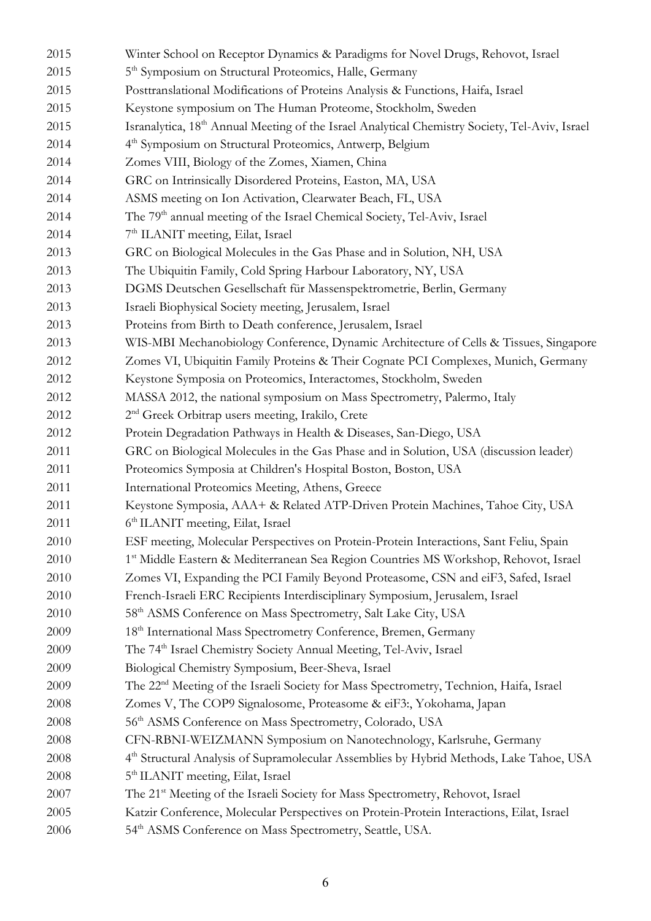| 2015 | Winter School on Receptor Dynamics & Paradigms for Novel Drugs, Rehovot, Israel                            |
|------|------------------------------------------------------------------------------------------------------------|
| 2015 | 5 <sup>th</sup> Symposium on Structural Proteomics, Halle, Germany                                         |
| 2015 | Posttranslational Modifications of Proteins Analysis & Functions, Haifa, Israel                            |
| 2015 | Keystone symposium on The Human Proteome, Stockholm, Sweden                                                |
| 2015 | Isranalytica, 18 <sup>th</sup> Annual Meeting of the Israel Analytical Chemistry Society, Tel-Aviv, Israel |
| 2014 | 4 <sup>th</sup> Symposium on Structural Proteomics, Antwerp, Belgium                                       |
| 2014 | Zomes VIII, Biology of the Zomes, Xiamen, China                                                            |
| 2014 | GRC on Intrinsically Disordered Proteins, Easton, MA, USA                                                  |
| 2014 | ASMS meeting on Ion Activation, Clearwater Beach, FL, USA                                                  |
| 2014 | The 79 <sup>th</sup> annual meeting of the Israel Chemical Society, Tel-Aviv, Israel                       |
| 2014 | 7 <sup>th</sup> ILANIT meeting, Eilat, Israel                                                              |
| 2013 | GRC on Biological Molecules in the Gas Phase and in Solution, NH, USA                                      |
| 2013 | The Ubiquitin Family, Cold Spring Harbour Laboratory, NY, USA                                              |
| 2013 | DGMS Deutschen Gesellschaft für Massenspektrometrie, Berlin, Germany                                       |
| 2013 | Israeli Biophysical Society meeting, Jerusalem, Israel                                                     |
| 2013 | Proteins from Birth to Death conference, Jerusalem, Israel                                                 |
| 2013 | WIS-MBI Mechanobiology Conference, Dynamic Architecture of Cells & Tissues, Singapore                      |
| 2012 | Zomes VI, Ubiquitin Family Proteins & Their Cognate PCI Complexes, Munich, Germany                         |
| 2012 | Keystone Symposia on Proteomics, Interactomes, Stockholm, Sweden                                           |
| 2012 | MASSA 2012, the national symposium on Mass Spectrometry, Palermo, Italy                                    |
| 2012 | 2 <sup>nd</sup> Greek Orbitrap users meeting, Irakilo, Crete                                               |
| 2012 | Protein Degradation Pathways in Health & Diseases, San-Diego, USA                                          |
| 2011 | GRC on Biological Molecules in the Gas Phase and in Solution, USA (discussion leader)                      |
| 2011 | Proteomics Symposia at Children's Hospital Boston, Boston, USA                                             |
| 2011 | International Proteomics Meeting, Athens, Greece                                                           |
| 2011 | Keystone Symposia, AAA+ & Related ATP-Driven Protein Machines, Tahoe City, USA                             |
| 2011 | 6 <sup>th</sup> ILANIT meeting, Eilat, Israel                                                              |
| 2010 | ESF meeting, Molecular Perspectives on Protein-Protein Interactions, Sant Feliu, Spain                     |
| 2010 | 1st Middle Eastern & Mediterranean Sea Region Countries MS Workshop, Rehovot, Israel                       |
| 2010 | Zomes VI, Expanding the PCI Family Beyond Proteasome, CSN and eiF3, Safed, Israel                          |
| 2010 | French-Israeli ERC Recipients Interdisciplinary Symposium, Jerusalem, Israel                               |
| 2010 | 58 <sup>th</sup> ASMS Conference on Mass Spectrometry, Salt Lake City, USA                                 |
| 2009 | 18 <sup>th</sup> International Mass Spectrometry Conference, Bremen, Germany                               |
| 2009 | The 74 <sup>th</sup> Israel Chemistry Society Annual Meeting, Tel-Aviv, Israel                             |
| 2009 | Biological Chemistry Symposium, Beer-Sheva, Israel                                                         |
| 2009 | The 22 <sup>nd</sup> Meeting of the Israeli Society for Mass Spectrometry, Technion, Haifa, Israel         |
| 2008 | Zomes V, The COP9 Signalosome, Proteasome & eiF3:, Yokohama, Japan                                         |
| 2008 | 56 <sup>th</sup> ASMS Conference on Mass Spectrometry, Colorado, USA                                       |
| 2008 | CFN-RBNI-WEIZMANN Symposium on Nanotechnology, Karlsruhe, Germany                                          |
| 2008 | 4th Structural Analysis of Supramolecular Assemblies by Hybrid Methods, Lake Tahoe, USA                    |
| 2008 | 5 <sup>th</sup> ILANIT meeting, Eilat, Israel                                                              |
| 2007 | The 21 <sup>st</sup> Meeting of the Israeli Society for Mass Spectrometry, Rehovot, Israel                 |
| 2005 | Katzir Conference, Molecular Perspectives on Protein-Protein Interactions, Eilat, Israel                   |
| 2006 | 54 <sup>th</sup> ASMS Conference on Mass Spectrometry, Seattle, USA.                                       |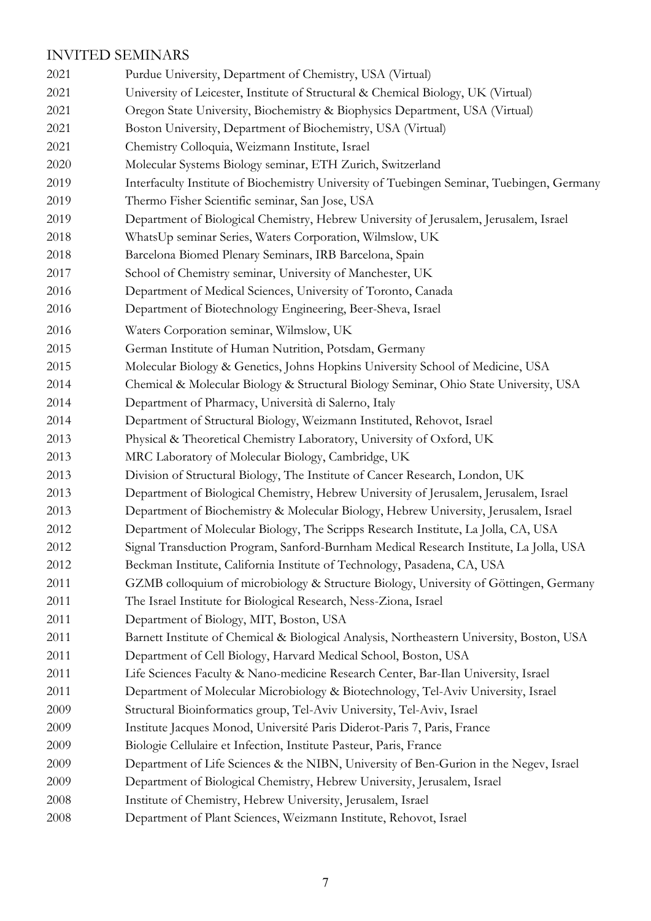## INVITED SEMINARS

 Purdue University, Department of Chemistry, USA (Virtual) University of Leicester, Institute of Structural & Chemical Biology, UK (Virtual) Oregon State University, Biochemistry & Biophysics Department, USA (Virtual) Boston University, Department of Biochemistry, USA (Virtual) Chemistry Colloquia, Weizmann Institute, Israel Molecular Systems Biology seminar, ETH Zurich, Switzerland Interfaculty Institute of Biochemistry University of Tuebingen Seminar, Tuebingen, Germany Thermo Fisher Scientific seminar, San Jose, USA Department of Biological Chemistry, Hebrew University of Jerusalem, Jerusalem, Israel WhatsUp seminar Series, Waters Corporation, Wilmslow, UK Barcelona Biomed Plenary Seminars, IRB Barcelona, Spain School of Chemistry seminar, University of Manchester, UK Department of Medical Sciences, University of Toronto, Canada Department of Biotechnology Engineering, Beer-Sheva, Israel Waters Corporation seminar, Wilmslow, UK German Institute of Human Nutrition, Potsdam, Germany Molecular Biology & Genetics, Johns Hopkins University School of Medicine, USA Chemical & Molecular Biology & Structural Biology Seminar, Ohio State University, USA Department of Pharmacy, Università di Salerno, Italy Department of Structural Biology, Weizmann Instituted, Rehovot, Israel Physical & Theoretical Chemistry Laboratory, University of Oxford, UK MRC Laboratory of Molecular Biology, Cambridge, UK Division of Structural Biology, The Institute of Cancer Research, London, UK Department of Biological Chemistry, Hebrew University of Jerusalem, Jerusalem, Israel Department of Biochemistry & Molecular Biology, Hebrew University, Jerusalem, Israel Department of Molecular Biology, The Scripps Research Institute, La Jolla, CA, USA Signal Transduction Program, Sanford-Burnham Medical Research Institute, La Jolla, USA Beckman Institute, California Institute of Technology, Pasadena, CA, USA GZMB colloquium of microbiology & Structure Biology, University of Göttingen, Germany The Israel Institute for Biological Research, Ness-Ziona, Israel Department of Biology, MIT, Boston, USA Barnett Institute of Chemical & Biological Analysis, Northeastern University, Boston, USA Department of Cell Biology, Harvard Medical School, Boston, USA Life Sciences Faculty & Nano-medicine Research Center, Bar-Ilan University, Israel Department of Molecular Microbiology & Biotechnology, Tel-Aviv University, Israel Structural Bioinformatics group, Tel-Aviv University, Tel-Aviv, Israel Institute Jacques Monod, Université Paris Diderot-Paris 7, Paris, France Biologie Cellulaire et Infection, Institute Pasteur, Paris, France Department of Life Sciences & the NIBN, University of Ben-Gurion in the Negev, Israel Department of Biological Chemistry, Hebrew University, Jerusalem, Israel 2008 Institute of Chemistry, Hebrew University, Jerusalem, Israel Department of Plant Sciences, Weizmann Institute, Rehovot, Israel